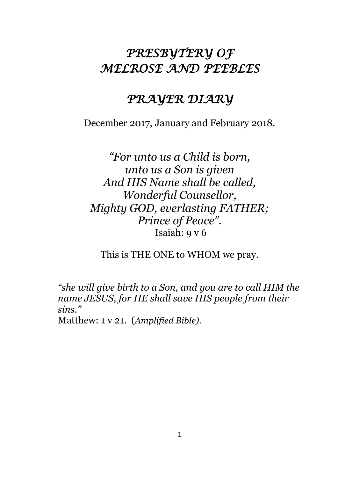# *PRESBYTERY OF MELROSE AND PEEBLES*

## *PRAYER DIARY*

December 2017, January and February 2018.

*"For unto us a Child is born, unto us a Son is given And HIS Name shall be called, Wonderful Counsellor, Mighty GOD, everlasting FATHER; Prince of Peace".* Isaiah: 9 v 6

This is THE ONE to WHOM we pray.

*"she will give birth to a Son, and you are to call HIM the name JESUS, for HE shall save HIS people from their sins."*

Matthew: 1 v 21. (*Amplified Bible).*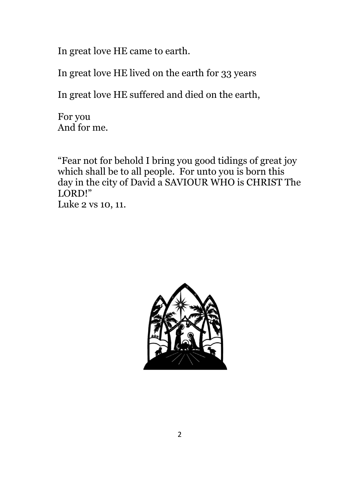In great love HE came to earth.

In great love HE lived on the earth for 33 years

In great love HE suffered and died on the earth,

For you And for me.

"Fear not for behold I bring you good tidings of great joy which shall be to all people. For unto you is born this day in the city of David a SAVIOUR WHO is CHRIST The LORD!"

Luke 2 vs 10, 11.

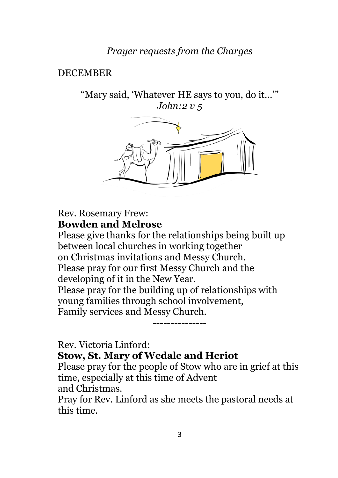## *Prayer requests from the Charges*

#### DECEMBER

"Mary said, 'Whatever HE says to you, do it…'" *John:2 v 5*



#### Rev. Rosemary Frew: **Bowden and Melrose**

Please give thanks for the relationships being built up between local churches in working together on Christmas invitations and Messy Church. Please pray for our first Messy Church and the developing of it in the New Year. Please pray for the building up of relationships with young families through school involvement, Family services and Messy Church.

Rev. Victoria Linford:

**Stow, St. Mary of Wedale and Heriot**

Please pray for the people of Stow who are in grief at this time, especially at this time of Advent

---------------

and Christmas.

Pray for Rev. Linford as she meets the pastoral needs at this time.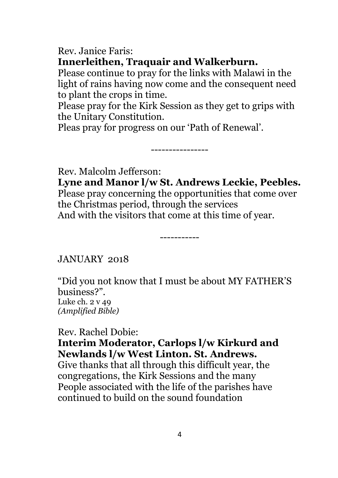Rev. Janice Faris: **Innerleithen, Traquair and Walkerburn.**

Please continue to pray for the links with Malawi in the light of rains having now come and the consequent need to plant the crops in time.

Please pray for the Kirk Session as they get to grips with the Unitary Constitution.

----------------

Pleas pray for progress on our 'Path of Renewal'.

Rev. Malcolm Jefferson:

**Lyne and Manor l/w St. Andrews Leckie, Peebles.** Please pray concerning the opportunities that come over the Christmas period, through the services And with the visitors that come at this time of year.

-----------

JANUARY 2018

"Did you not know that I must be about MY FATHER'S business?". Luke ch. 2 v 49 *(Amplified Bible)* 

Rev. Rachel Dobie:

#### **Interim Moderator, Carlops l/w Kirkurd and Newlands l/w West Linton. St. Andrews.**

Give thanks that all through this difficult year, the congregations, the Kirk Sessions and the many People associated with the life of the parishes have continued to build on the sound foundation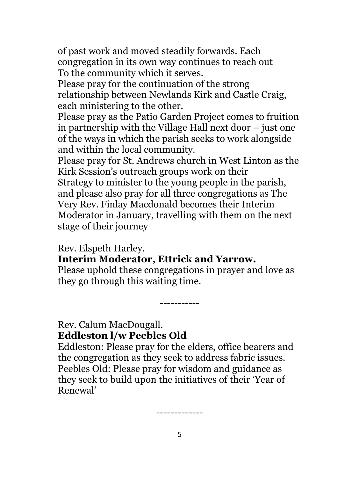of past work and moved steadily forwards. Each congregation in its own way continues to reach out To the community which it serves.

Please pray for the continuation of the strong relationship between Newlands Kirk and Castle Craig, each ministering to the other.

Please pray as the Patio Garden Project comes to fruition in partnership with the Village Hall next door – just one of the ways in which the parish seeks to work alongside and within the local community.

Please pray for St. Andrews church in West Linton as the Kirk Session's outreach groups work on their Strategy to minister to the young people in the parish, and please also pray for all three congregations as The Very Rev. Finlay Macdonald becomes their Interim Moderator in January, travelling with them on the next

stage of their journey

Rev. Elspeth Harley.

**Interim Moderator, Ettrick and Yarrow.**

Please uphold these congregations in prayer and love as they go through this waiting time.

-----------

Rev. Calum MacDougall. **Eddleston l/w Peebles Old** 

Eddleston: Please pray for the elders, office bearers and the congregation as they seek to address fabric issues. Peebles Old: Please pray for wisdom and guidance as they seek to build upon the initiatives of their 'Year of Renewal'

-------------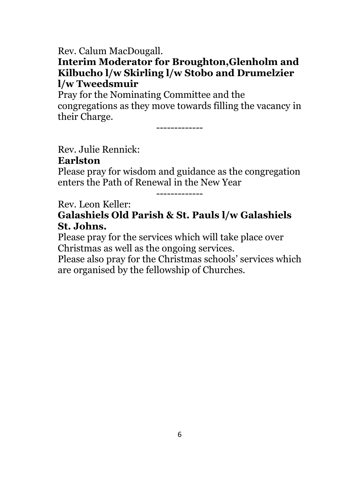Rev. Calum MacDougall.

## **Interim Moderator for Broughton,Glenholm and Kilbucho l/w Skirling l/w Stobo and Drumelzier l/w Tweedsmuir**

Pray for the Nominating Committee and the congregations as they move towards filling the vacancy in their Charge.

-------------

Rev. Julie Rennick: **Earlston**

Please pray for wisdom and guidance as the congregation enters the Path of Renewal in the New Year

-------------

Rev. Leon Keller:

**Galashiels Old Parish & St. Pauls l/w Galashiels St. Johns.**

Please pray for the services which will take place over Christmas as well as the ongoing services.

Please also pray for the Christmas schools' services which are organised by the fellowship of Churches.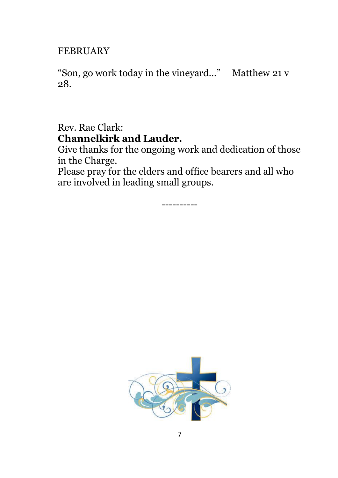#### FEBRUARY

"Son, go work today in the vineyard…" Matthew 21 v 28.

Rev. Rae Clark: **Channelkirk and Lauder.**

Give thanks for the ongoing work and dedication of those in the Charge.

Please pray for the elders and office bearers and all who are involved in leading small groups.

----------

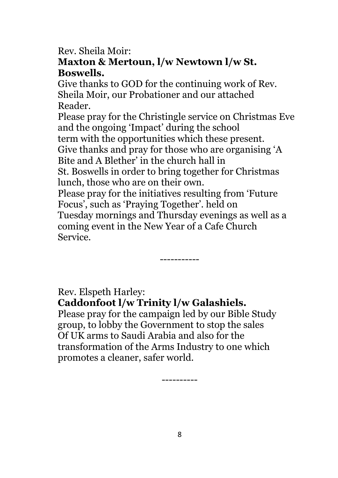#### Rev. Sheila Moir: **Maxton & Mertoun, l/w Newtown l/w St.**

## **Boswells.**

Give thanks to GOD for the continuing work of Rev. Sheila Moir, our Probationer and our attached Reader.

Please pray for the Christingle service on Christmas Eve and the ongoing 'Impact' during the school term with the opportunities which these present. Give thanks and pray for those who are organising 'A Bite and A Blether' in the church hall in St. Boswells in order to bring together for Christmas lunch, those who are on their own. Please pray for the initiatives resulting from 'Future Focus', such as 'Praying Together'. held on Tuesday mornings and Thursday evenings as well as a coming event in the New Year of a Cafe Church Service.

-----------

## Rev. Elspeth Harley:

## **Caddonfoot l/w Trinity l/w Galashiels.**

Please pray for the campaign led by our Bible Study group, to lobby the Government to stop the sales Of UK arms to Saudi Arabia and also for the transformation of the Arms Industry to one which promotes a cleaner, safer world.

----------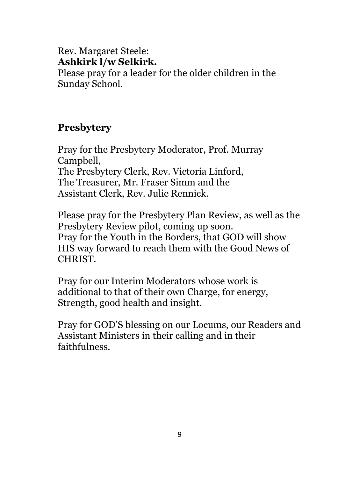### Rev. Margaret Steele: **Ashkirk l/w Selkirk.**

Please pray for a leader for the older children in the Sunday School.

## **Presbytery**

Pray for the Presbytery Moderator, Prof. Murray Campbell, The Presbytery Clerk, Rev. Victoria Linford, The Treasurer, Mr. Fraser Simm and the Assistant Clerk, Rev. Julie Rennick.

Please pray for the Presbytery Plan Review, as well as the Presbytery Review pilot, coming up soon. Pray for the Youth in the Borders, that GOD will show HIS way forward to reach them with the Good News of CHRIST.

Pray for our Interim Moderators whose work is additional to that of their own Charge, for energy, Strength, good health and insight.

Pray for GOD'S blessing on our Locums, our Readers and Assistant Ministers in their calling and in their faithfulness.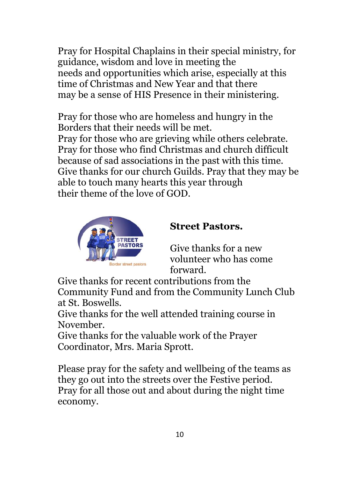Pray for Hospital Chaplains in their special ministry, for guidance, wisdom and love in meeting the needs and opportunities which arise, especially at this time of Christmas and New Year and that there may be a sense of HIS Presence in their ministering.

Pray for those who are homeless and hungry in the Borders that their needs will be met. Pray for those who are grieving while others celebrate. Pray for those who find Christmas and church difficult because of sad associations in the past with this time. Give thanks for our church Guilds. Pray that they may be able to touch many hearts this year through their theme of the love of GOD.



#### **Street Pastors.**

Give thanks for a new volunteer who has come forward.

Give thanks for recent contributions from the Community Fund and from the Community Lunch Club at St. Boswells.

Give thanks for the well attended training course in November.

Give thanks for the valuable work of the Prayer Coordinator, Mrs. Maria Sprott.

Please pray for the safety and wellbeing of the teams as they go out into the streets over the Festive period. Pray for all those out and about during the night time economy.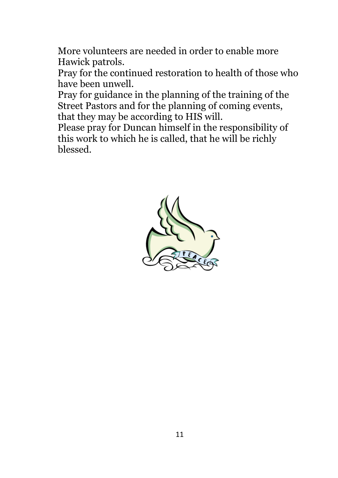More volunteers are needed in order to enable more Hawick patrols.

Pray for the continued restoration to health of those who have been unwell.

Pray for guidance in the planning of the training of the Street Pastors and for the planning of coming events, that they may be according to HIS will.

Please pray for Duncan himself in the responsibility of this work to which he is called, that he will be richly blessed.